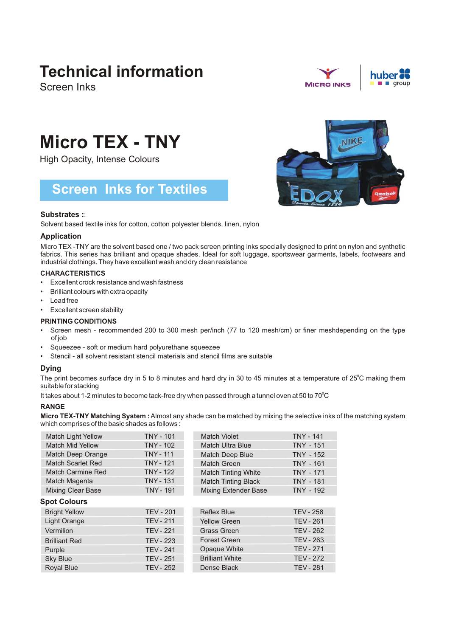## **Technical information**

Screen Inks



NIKE

# **Micro TEX - TNY**

High Opacity, Intense Colours

### **Screen Inks for Textiles**

#### **Substrates :**:

Solvent based textile inks for cotton, cotton polyester blends, linen, nylon

#### **Application**

Micro TEX -TNY are the solvent based one / two pack screen printing inks specially designed to print on nylon and synthetic fabrics. This series has brilliant and opaque shades. Ideal for soft luggage, sportswear garments, labels, footwears and industrial clothings. They have excellent wash and dry clean resistance

#### **CHARACTERISTICS**

- Excellent crock resistance and wash fastness
- Brilliant colours with extra opacity
- Lead free
- Excellent screen stability

#### **PRINTING CONDITIONS**

- Screen mesh recommended 200 to 300 mesh per/inch (77 to 120 mesh/cm) or finer meshdepending on the type of job
- Squeezee soft or medium hard polyurethane squeezee
- Stencil all solvent resistant stencil materials and stencil films are suitable

#### **Dying**

The print becomes surface dry in 5 to 8 minutes and hard dry in 30 to 45 minutes at a temperature of 25°C making them suitable for stacking

It takes about 1-2 minutes to become tack-free dry when passed through a tunnel oven at 50 to 70 $^{\circ}$ C

#### **RANGE**

**Micro TEX-TNY Matching System :**Almost any shade can be matched by mixing the selective inks of the matching system which comprises of the basic shades as follows :

| <b>Match Light Yellow</b> | <b>TNY - 101</b> | Match Violet                | <b>TNY - 141</b> |
|---------------------------|------------------|-----------------------------|------------------|
| <b>Match Mid Yellow</b>   | <b>TNY - 102</b> | <b>Match Ultra Blue</b>     | <b>TNY - 151</b> |
| Match Deep Orange         | <b>TNY - 111</b> | <b>Match Deep Blue</b>      | <b>TNY - 152</b> |
| <b>Match Scarlet Red</b>  | <b>TNY - 121</b> | Match Green                 | <b>TNY - 161</b> |
| Match Carmine Red         | <b>TNY - 122</b> | <b>Match Tinting White</b>  | <b>TNY - 171</b> |
| Match Magenta             | <b>TNY - 131</b> | <b>Match Tinting Black</b>  | <b>TNY - 181</b> |
| <b>Mixing Clear Base</b>  | <b>TNY - 191</b> | <b>Mixing Extender Base</b> | <b>TNY - 192</b> |
| <b>Spot Colours</b>       |                  |                             |                  |
| <b>Bright Yellow</b>      | <b>TEV - 201</b> | Reflex Blue                 | <b>TEV - 258</b> |
| <b>Light Orange</b>       | <b>TEV - 211</b> | <b>Yellow Green</b>         | <b>TEV - 261</b> |
| Vermilion                 | <b>TEV - 221</b> | <b>Grass Green</b>          | <b>TEV - 262</b> |
| <b>Brilliant Red</b>      | <b>TEV - 223</b> | <b>Forest Green</b>         | <b>TEV - 263</b> |
| Purple                    | <b>TEV - 241</b> | Opaque White                | <b>TEV - 271</b> |
| <b>Sky Blue</b>           | <b>TEV - 251</b> | <b>Brilliant White</b>      | <b>TEV - 272</b> |
| <b>Royal Blue</b>         | <b>TEV - 252</b> | Dense Black                 | <b>TEV - 281</b> |
|                           |                  |                             |                  |